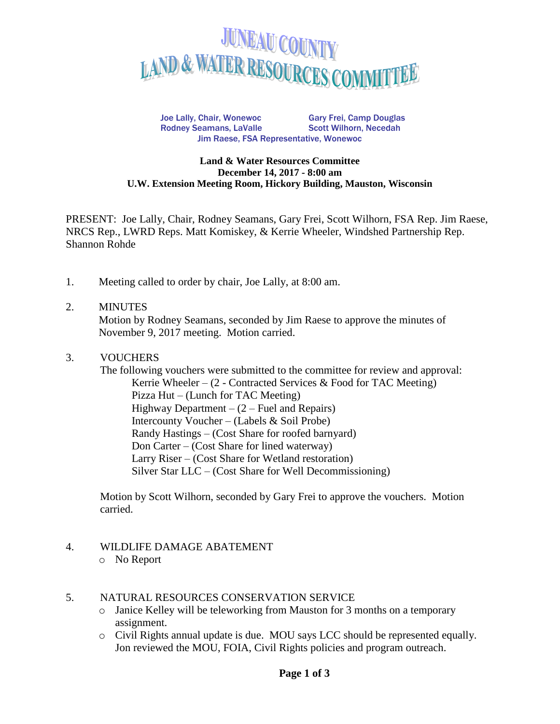

Joe Lally, Chair, Wonewoc Gary Frei, Camp Douglas Rodney Seamans, LaValle Scott Wilhorn, Necedah Jim Raese, FSA Representative, Wonewoc

#### **Land & Water Resources Committee December 14, 2017 - 8:00 am U.W. Extension Meeting Room, Hickory Building, Mauston, Wisconsin**

PRESENT: Joe Lally, Chair, Rodney Seamans, Gary Frei, Scott Wilhorn, FSA Rep. Jim Raese, NRCS Rep., LWRD Reps. Matt Komiskey, & Kerrie Wheeler, Windshed Partnership Rep. Shannon Rohde

1. Meeting called to order by chair, Joe Lally, at 8:00 am.

#### 2. MINUTES

Motion by Rodney Seamans, seconded by Jim Raese to approve the minutes of November 9, 2017 meeting. Motion carried.

### 3. VOUCHERS

The following vouchers were submitted to the committee for review and approval: Kerrie Wheeler –  $(2$  - Contracted Services & Food for TAC Meeting) Pizza Hut – (Lunch for TAC Meeting) Highway Department  $- (2 -$  Fuel and Repairs) Intercounty Voucher – (Labels & Soil Probe) Randy Hastings – (Cost Share for roofed barnyard) Don Carter – (Cost Share for lined waterway) Larry Riser – (Cost Share for Wetland restoration) Silver Star LLC – (Cost Share for Well Decommissioning)

Motion by Scott Wilhorn, seconded by Gary Frei to approve the vouchers. Motion carried.

### 4. WILDLIFE DAMAGE ABATEMENT

o No Report

#### 5. NATURAL RESOURCES CONSERVATION SERVICE

- o Janice Kelley will be teleworking from Mauston for 3 months on a temporary assignment.
- o Civil Rights annual update is due. MOU says LCC should be represented equally. Jon reviewed the MOU, FOIA, Civil Rights policies and program outreach.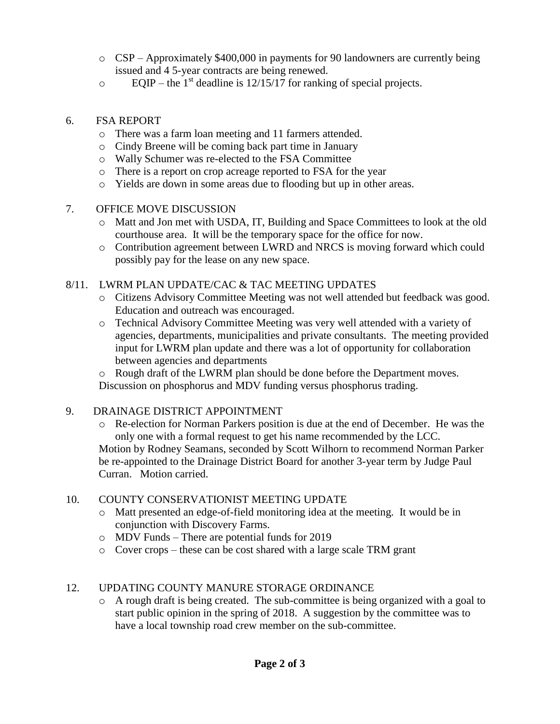- $\circ$  CSP Approximately \$400,000 in payments for 90 landowners are currently being issued and 4 5-year contracts are being renewed.
- $\degree$  EQIP the 1<sup>st</sup> deadline is 12/15/17 for ranking of special projects.

## 6. FSA REPORT

- o There was a farm loan meeting and 11 farmers attended.
- o Cindy Breene will be coming back part time in January
- o Wally Schumer was re-elected to the FSA Committee
- o There is a report on crop acreage reported to FSA for the year
- o Yields are down in some areas due to flooding but up in other areas.

### 7. OFFICE MOVE DISCUSSION

- o Matt and Jon met with USDA, IT, Building and Space Committees to look at the old courthouse area. It will be the temporary space for the office for now.
- o Contribution agreement between LWRD and NRCS is moving forward which could possibly pay for the lease on any new space.

## 8/11. LWRM PLAN UPDATE/CAC & TAC MEETING UPDATES

- o Citizens Advisory Committee Meeting was not well attended but feedback was good. Education and outreach was encouraged.
- o Technical Advisory Committee Meeting was very well attended with a variety of agencies, departments, municipalities and private consultants. The meeting provided input for LWRM plan update and there was a lot of opportunity for collaboration between agencies and departments
- o Rough draft of the LWRM plan should be done before the Department moves. Discussion on phosphorus and MDV funding versus phosphorus trading.

### 9. DRAINAGE DISTRICT APPOINTMENT

o Re-election for Norman Parkers position is due at the end of December. He was the only one with a formal request to get his name recommended by the LCC. Motion by Rodney Seamans, seconded by Scott Wilhorn to recommend Norman Parker be re-appointed to the Drainage District Board for another 3-year term by Judge Paul Curran. Motion carried.

# 10. COUNTY CONSERVATIONIST MEETING UPDATE

- o Matt presented an edge-of-field monitoring idea at the meeting. It would be in conjunction with Discovery Farms.
- o MDV Funds There are potential funds for 2019
- o Cover crops these can be cost shared with a large scale TRM grant

# 12. UPDATING COUNTY MANURE STORAGE ORDINANCE

 $\circ$  A rough draft is being created. The sub-committee is being organized with a goal to start public opinion in the spring of 2018. A suggestion by the committee was to have a local township road crew member on the sub-committee.